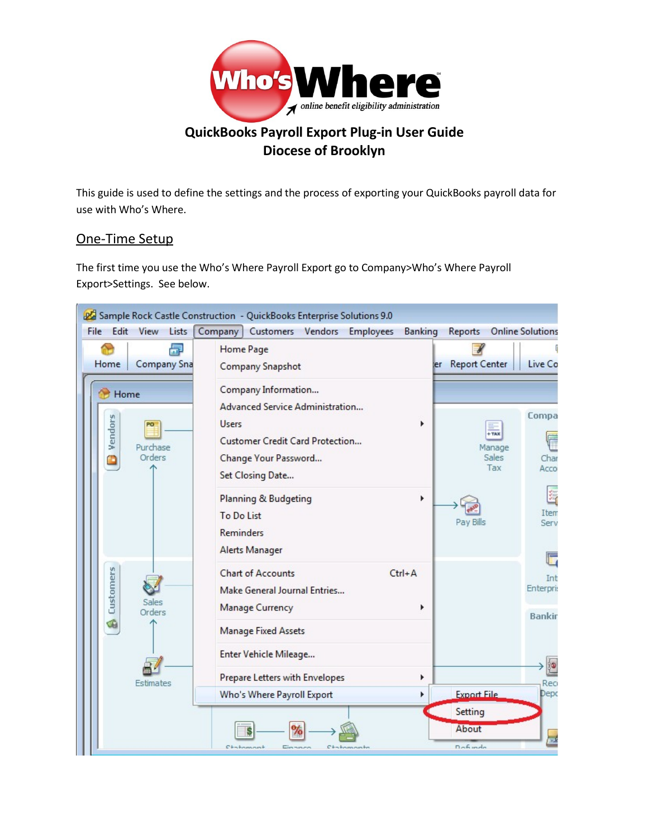

# **QuickBooks Payroll Export Plug-in User Guide Diocese of Brooklyn**

This guide is used to define the settings and the process of exporting your QuickBooks payroll data for use with Who's Where.

# One-Time Setup

The first time you use the Who's Where Payroll Export go to Company>Who's Where Payroll Export>Settings. See below.

| Edit<br><b>File</b><br>View<br>Lists                          | 22 Sample Rock Castle Construction - QuickBooks Enterprise Solutions 9.0<br>Company Customers Vendors Employees<br>Banking                                   | <b>Online Solutions</b><br>Reports                                       |
|---------------------------------------------------------------|--------------------------------------------------------------------------------------------------------------------------------------------------------------|--------------------------------------------------------------------------|
| 品<br>Home<br><b>Company Sna</b>                               | Home Page<br><b>Company Snapshot</b>                                                                                                                         | ler Report Center<br>Live Co                                             |
| Home<br>Ð<br>Vendors<br>PO <sup>1</sup><br>Purchase<br>Orders | Company Information<br>Advanced Service Administration<br><b>Users</b><br><b>Customer Credit Card Protection</b><br>Change Your Password<br>Set Closing Date | Compa<br>$+ \text{max}$<br>Manage<br><b>Sales</b><br>Char<br>Tax<br>Acco |
|                                                               | Planning & Budgeting<br>r<br>To Do List<br><b>Reminders</b><br>Alerts Manager                                                                                | 鹨<br>Item<br>Pay Bills<br>Serv                                           |
| Customers<br>Sales<br>Orders                                  | <b>Chart of Accounts</b><br>$Ctrl + A$<br>Make General Journal Entries<br><b>Manage Currency</b><br><b>Manage Fixed Assets</b>                               | Int<br>Enterpri:<br><b>Bankir</b>                                        |
| Estimates                                                     | Enter Vehicle Mileage<br>Prepare Letters with Envelopes<br>Who's Where Payroll Export                                                                        | <b>io</b><br>Reo<br><b>Export File</b><br>Depo                           |
|                                                               | $C + \frac{1}{2}$<br>Chatamanto<br>Eliza was aw                                                                                                              | Setting<br>About<br>壼<br>Dofundo                                         |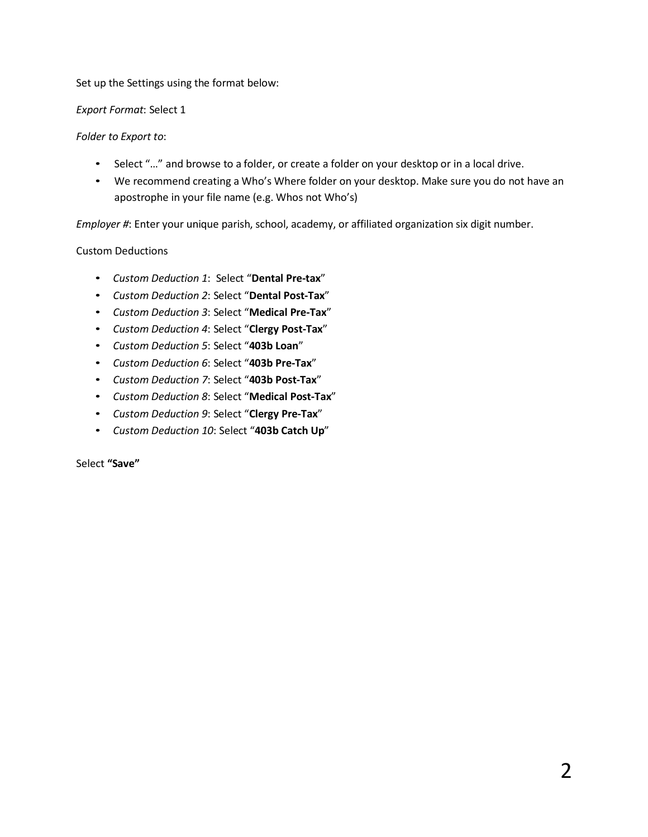#### Set up the Settings using the format below:

#### *Export Format*: Select 1

### *Folder to Export to*:

- Select "..." and browse to a folder, or create a folder on your desktop or in a local drive.
- We recommend creating a Who's Where folder on your desktop. Make sure you do not have an apostrophe in your file name (e.g. Whos not Who's)

*Employer #*: Enter your unique parish, school, academy, or affiliated organization six digit number.

### Custom Deductions

- *Custom Deduction 1*: Select "**Dental Pre-tax**"
- *Custom Deduction 2*: Select "**Dental Post-Tax**"
- *Custom Deduction 3*: Select "**Medical Pre-Tax**"
- *Custom Deduction 4*: Select "**Clergy Post-Tax**"
- *Custom Deduction 5*: Select "**403b Loan**"
- *Custom Deduction 6*: Select "**403b Pre-Tax**"
- *Custom Deduction 7*: Select "**403b Post-Tax**"
- *Custom Deduction 8*: Select "**Medical Post-Tax**"
- *Custom Deduction 9*: Select "**Clergy Pre-Tax**"
- *Custom Deduction 10*: Select "**403b Catch Up**"

Select **"Save"**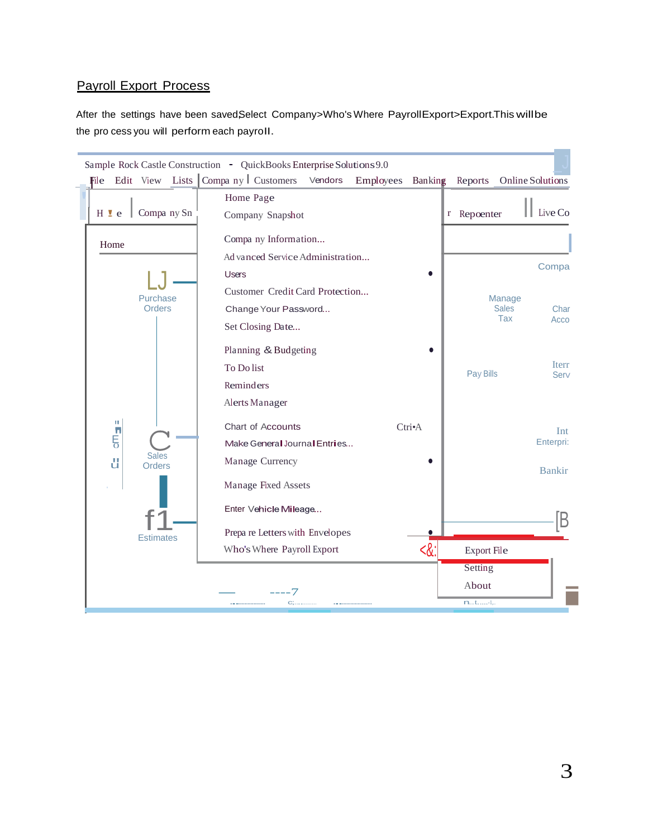### **Payroll Export Process**

After the settings have been savedSelect Company>Who's Where PayrollExport>Export.This willbe the pro cess you will perform each payroll.

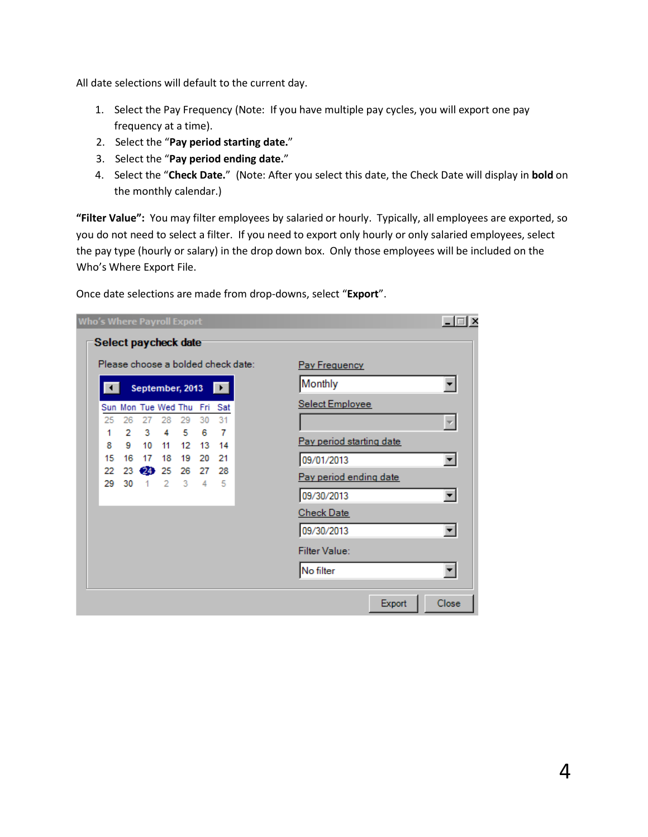All date selections will default to the current day.

- 1. Select the Pay Frequency (Note: If you have multiple pay cycles, you will export one pay frequency at a time).
- 2. Select the "**Pay period starting date.**"
- 3. Select the "**Pay period ending date.**"
- 4. Select the "**Check Date.**" (Note: After you select this date, the Check Date will display in **bold** on the monthly calendar.)

**"Filter Value":** You may filter employees by salaried or hourly. Typically, all employees are exported, so you do not need to select a filter. If you need to export only hourly or only salaried employees, select the pay type (hourly or salary) in the drop down box. Only those employees will be included on the Who's Where Export File.

| Please choose a bolded check date: |    |                |    |                             |         |           | Pay Frequency            |
|------------------------------------|----|----------------|----|-----------------------------|---------|-----------|--------------------------|
|                                    |    |                |    | September, 2013             |         | E         | Monthly                  |
|                                    |    |                |    | Sun Mon Tue Wed Thu Fri Sat |         |           | Select Employee          |
| 25                                 | 26 | 27             | 28 | 29                          | 30      | 31        |                          |
| 1                                  | 2  | 3              | 4  | 5                           | 6       | 7         | Pay period starting date |
| 8                                  | 9  | 10             | 11 | 12                          | 13      | 14        |                          |
| 15                                 | 16 | 17             | 18 | 19                          | 20      | 21        | 09/01/2013<br>▾          |
| 22                                 |    | 23 24 25       |    | 26                          | 27<br>4 | 28<br>- 5 | Pay period ending date   |
| 29.                                | 30 | $\overline{1}$ | -2 | 3                           |         |           | 09/30/2013<br>▼          |
|                                    |    |                |    |                             |         |           | <b>Check Date</b>        |
|                                    |    |                |    |                             |         |           | 09/30/2013               |
|                                    |    |                |    |                             |         |           | <b>Filter Value:</b>     |
|                                    |    |                |    |                             |         |           | No filter                |

Once date selections are made from drop-downs, select "**Export**".